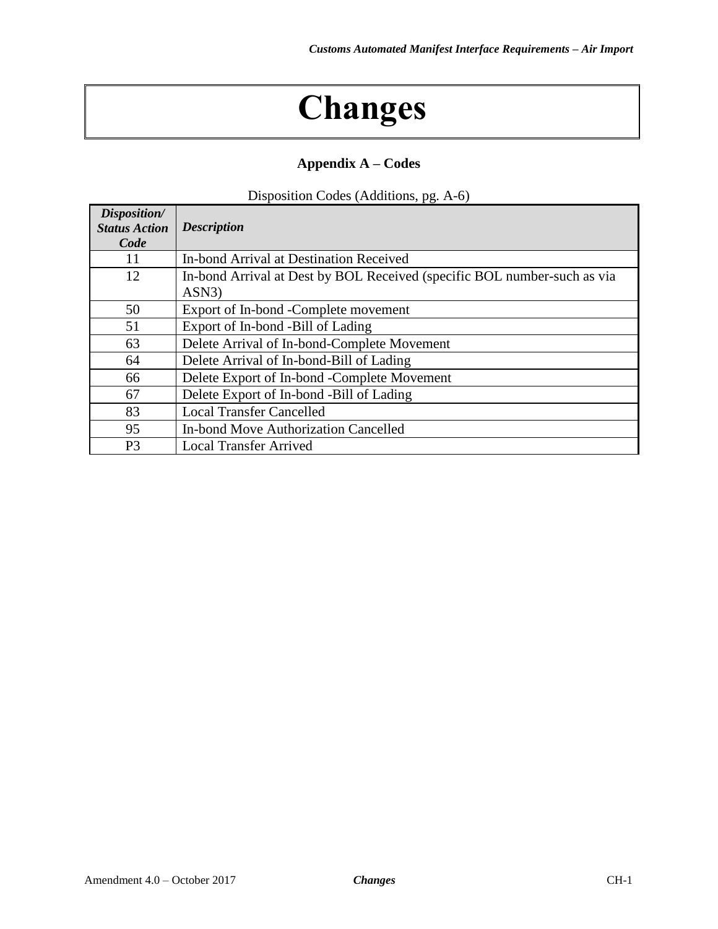## **Changes**

## **Appendix A – Codes**

| Disposition Codes (Additions, pg. A-6) |  |
|----------------------------------------|--|
|                                        |  |

| Disposition/<br><b>Status Action</b><br>Code | <b>Description</b>                                                                |
|----------------------------------------------|-----------------------------------------------------------------------------------|
| 11                                           | In-bond Arrival at Destination Received                                           |
| 12                                           | In-bond Arrival at Dest by BOL Received (specific BOL number-such as via<br>ASN3) |
| 50                                           |                                                                                   |
|                                              | Export of In-bond -Complete movement                                              |
| 51                                           | Export of In-bond -Bill of Lading                                                 |
| 63                                           | Delete Arrival of In-bond-Complete Movement                                       |
| 64                                           | Delete Arrival of In-bond-Bill of Lading                                          |
| 66                                           | Delete Export of In-bond -Complete Movement                                       |
| 67                                           | Delete Export of In-bond -Bill of Lading                                          |
| 83                                           | <b>Local Transfer Cancelled</b>                                                   |
| 95                                           | In-bond Move Authorization Cancelled                                              |
| P <sub>3</sub>                               | <b>Local Transfer Arrived</b>                                                     |